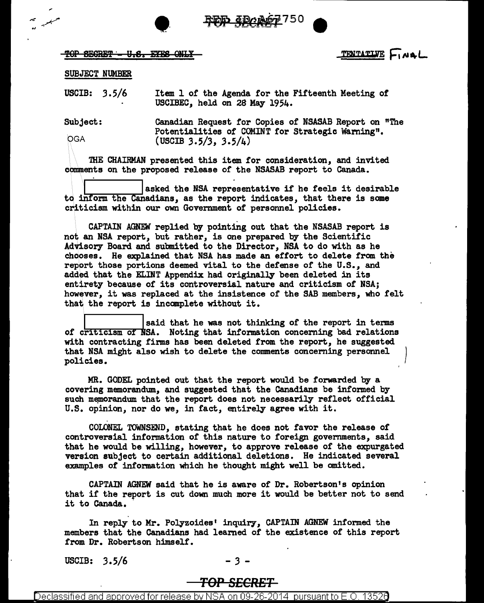\_4DAA67750

 $\overline{\text{TOP}}$  SEGRET - U.S. EYES ONLY

••

TENTATIVE FINAL

## SUBJECT NUMBER

USCIB: *3.5/6*  Item 1 of the Agenda for the Fifteenth Meeting of USCIBEC, held on 28 May 1954.

Subject: **OGA** Canadian Request tor Copies of NSASAB Report on "The Potentialities of COMINT for Strategic Warning". (USCIB *3.5/3,* 3.5/4)

'IHE CHAIRMAN presented this item for consideration, and invited comments on the proposed release or the NSASAB report to Canada.

asked the NSA representative if he feels it desirable to inform the Canadians, as the report indicates, that there is some criticism within our own Government of' personnel policies.

CAPTAIN AGNEW replied by pointing out that the NSASAB report is not an NSA report, but rather, is one prepared by the Scientific Advisory Board and submitted to the Director, NSA to do with as he chooses. He explained that NSA has made an effort to delete from the report those portions deemed vital to the defense of' the U.S., and added that the EI.INT Appendix had originally been deleted in its entirety because of its controversial nature and criticism of NSA; however, it was replaced at the insistence of the SAB members, who felt that the report is incomplete without it.

said that he was not thinking of the report in terms of criticism of NSA. Noting that information concerning bad relations with contracting firms has been deleted from the report, he suggested that NSA might also wish to delete the conments concerning personnel policies.

MR. GODEL pointed out that the report would be forwarded by a covering memorandum, and suggested that the Canadians be informed by such memorandum that the report does not necessarily reflect official U.S. opinion, nor do we, in fact, entirely agree with it.

COLONEL TOWNSEND, stating that he does not favor the release of controversial information of' this nature to foreign governments, said that he would be willing, however, to approve release of the expurgated version subject to certain additional deletions. He indicated several examples of' information which he thought might well be omitted.

CAPTAIN AGNEW said that he is aware of Dr. Robertson's opinion that if the report is cut down much more it would be better not to send it to Canada.

In reply to Mr. Polyzoides' inquiry, CAPTAIN AGNEW informed the members that the Canadians had learned of' the existence of' this report from Dr. Robertson himself.

USCIB:  $3.5/6$  - 3

Declassified and approved for release by NSA on 09-26-2014  $\,$  pursuant to E.O. 1352 $0$